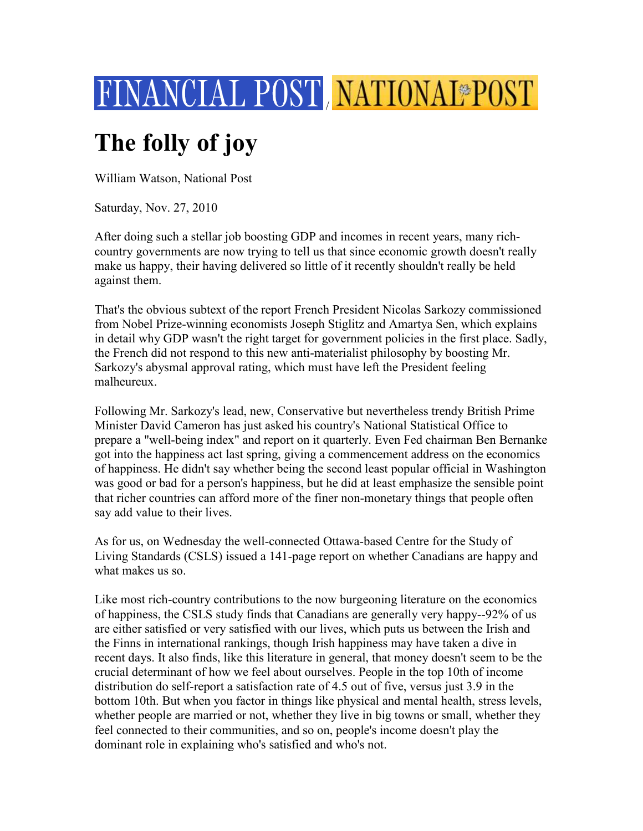

## **The folly of joy**

William Watson, National Post

Saturday, Nov. 27, 2010

After doing such a stellar job boosting GDP and incomes in recent years, many richcountry governments are now trying to tell us that since economic growth doesn't really make us happy, their having delivered so little of it recently shouldn't really be held against them.

That's the obvious subtext of the report French President Nicolas Sarkozy commissioned from Nobel Prize-winning economists Joseph Stiglitz and Amartya Sen, which explains in detail why GDP wasn't the right target for government policies in the first place. Sadly, the French did not respond to this new anti-materialist philosophy by boosting Mr. Sarkozy's abysmal approval rating, which must have left the President feeling malheureux.

Following Mr. Sarkozy's lead, new, Conservative but nevertheless trendy British Prime Minister David Cameron has just asked his country's National Statistical Office to prepare a "well-being index" and report on it quarterly. Even Fed chairman Ben Bernanke got into the happiness act last spring, giving a commencement address on the economics of happiness. He didn't say whether being the second least popular official in Washington was good or bad for a person's happiness, but he did at least emphasize the sensible point that richer countries can afford more of the finer non-monetary things that people often say add value to their lives.

As for us, on Wednesday the well-connected Ottawa-based Centre for the Study of Living Standards (CSLS) issued a 141-page report on whether Canadians are happy and what makes us so.

Like most rich-country contributions to the now burgeoning literature on the economics of happiness, the CSLS study finds that Canadians are generally very happy--92% of us are either satisfied or very satisfied with our lives, which puts us between the Irish and the Finns in international rankings, though Irish happiness may have taken a dive in recent days. It also finds, like this literature in general, that money doesn't seem to be the crucial determinant of how we feel about ourselves. People in the top 10th of income distribution do self-report a satisfaction rate of 4.5 out of five, versus just 3.9 in the bottom 10th. But when you factor in things like physical and mental health, stress levels, whether people are married or not, whether they live in big towns or small, whether they feel connected to their communities, and so on, people's income doesn't play the dominant role in explaining who's satisfied and who's not.